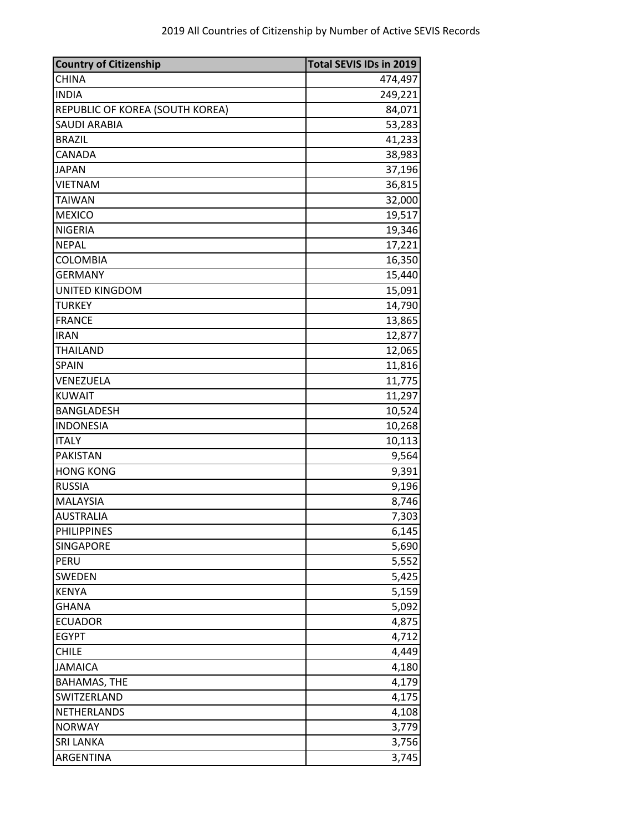| <b>Country of Citizenship</b>   | Total SEVIS IDs in 2019 |
|---------------------------------|-------------------------|
| <b>CHINA</b>                    | 474,497                 |
| <b>INDIA</b>                    | 249,221                 |
| REPUBLIC OF KOREA (SOUTH KOREA) | 84,071                  |
| <b>SAUDI ARABIA</b>             | 53,283                  |
| <b>BRAZIL</b>                   | 41,233                  |
| CANADA                          | 38,983                  |
| <b>JAPAN</b>                    | 37,196                  |
| <b>VIETNAM</b>                  | 36,815                  |
| <b>TAIWAN</b>                   | 32,000                  |
| <b>MEXICO</b>                   | 19,517                  |
| <b>NIGERIA</b>                  | 19,346                  |
| <b>NEPAL</b>                    | 17,221                  |
| <b>COLOMBIA</b>                 | 16,350                  |
| <b>GERMANY</b>                  | 15,440                  |
| UNITED KINGDOM                  | 15,091                  |
| <b>TURKEY</b>                   | 14,790                  |
| <b>FRANCE</b>                   | 13,865                  |
| <b>IRAN</b>                     | 12,877                  |
| <b>THAILAND</b>                 | 12,065                  |
| <b>SPAIN</b>                    | 11,816                  |
| VENEZUELA                       | 11,775                  |
| <b>KUWAIT</b>                   | 11,297                  |
| <b>BANGLADESH</b>               | 10,524                  |
| <b>INDONESIA</b>                | 10,268                  |
| <b>ITALY</b>                    | 10,113                  |
| <b>PAKISTAN</b>                 | 9,564                   |
| <b>HONG KONG</b>                | 9,391                   |
| <b>RUSSIA</b>                   | 9,196                   |
| MALAYSIA                        | 8,746                   |
| <b>AUSTRALIA</b>                | 7,303                   |
| <b>PHILIPPINES</b>              | 6,145                   |
| SINGAPORE                       | 5,690                   |
| PERU                            | 5,552                   |
| SWEDEN                          | 5,425                   |
| <b>KENYA</b>                    | 5,159                   |
| <b>GHANA</b>                    | 5,092                   |
| <b>ECUADOR</b>                  | 4,875                   |
| <b>EGYPT</b>                    | 4,712                   |
| <b>CHILE</b>                    | 4,449                   |
| <b>JAMAICA</b>                  | 4,180                   |
| <b>BAHAMAS, THE</b>             | 4,179                   |
| SWITZERLAND                     | 4,175                   |
| NETHERLANDS                     | 4,108                   |
| <b>NORWAY</b>                   | 3,779                   |
| <b>SRI LANKA</b>                | 3,756                   |
| ARGENTINA                       | 3,745                   |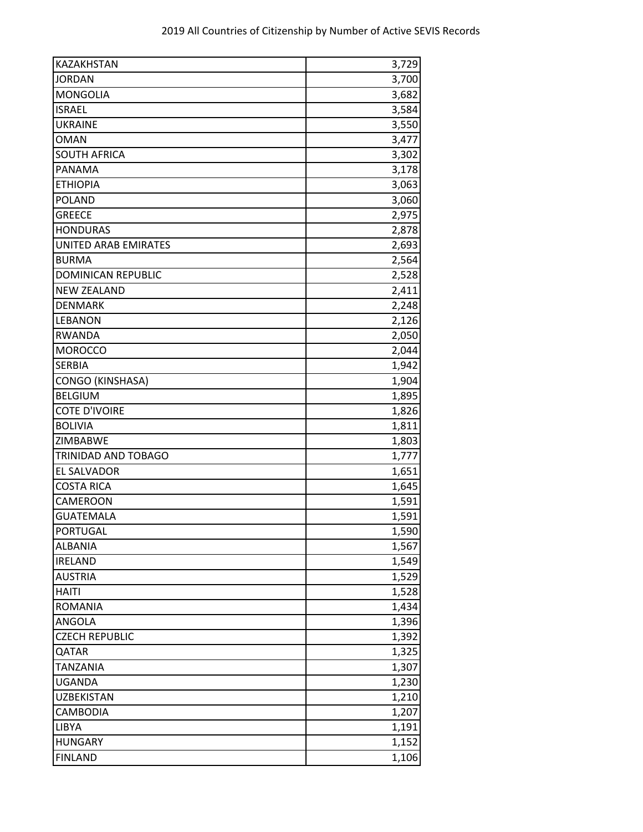| <b>KAZAKHSTAN</b>           | 3,729 |
|-----------------------------|-------|
| <b>JORDAN</b>               | 3,700 |
| <b>MONGOLIA</b>             | 3,682 |
| <b>ISRAEL</b>               | 3,584 |
| <b>UKRAINE</b>              | 3,550 |
| <b>OMAN</b>                 | 3,477 |
| <b>SOUTH AFRICA</b>         | 3,302 |
| PANAMA                      | 3,178 |
| <b>ETHIOPIA</b>             | 3,063 |
| <b>POLAND</b>               | 3,060 |
| <b>GREECE</b>               | 2,975 |
| <b>HONDURAS</b>             | 2,878 |
| <b>UNITED ARAB EMIRATES</b> | 2,693 |
| <b>BURMA</b>                | 2,564 |
| <b>DOMINICAN REPUBLIC</b>   | 2,528 |
| <b>NEW ZEALAND</b>          | 2,411 |
| <b>DENMARK</b>              | 2,248 |
| LEBANON                     | 2,126 |
| <b>RWANDA</b>               | 2,050 |
| <b>MOROCCO</b>              | 2,044 |
| <b>SERBIA</b>               | 1,942 |
| <b>CONGO (KINSHASA)</b>     | 1,904 |
| <b>BELGIUM</b>              | 1,895 |
| <b>COTE D'IVOIRE</b>        | 1,826 |
| <b>BOLIVIA</b>              | 1,811 |
| ZIMBABWE                    | 1,803 |
| TRINIDAD AND TOBAGO         | 1,777 |
| EL SALVADOR                 | 1,651 |
| <b>COSTA RICA</b>           | 1,645 |
| CAMEROON                    | 1,591 |
| <b>GUATEMALA</b>            | 1,591 |
| PORTUGAL                    | 1,590 |
| <b>ALBANIA</b>              | 1,567 |
| <b>IRELAND</b>              | 1,549 |
| <b>AUSTRIA</b>              | 1,529 |
| <b>HAITI</b>                | 1,528 |
| <b>ROMANIA</b>              | 1,434 |
| <b>ANGOLA</b>               | 1,396 |
| <b>CZECH REPUBLIC</b>       | 1,392 |
| QATAR                       | 1,325 |
| <b>TANZANIA</b>             | 1,307 |
| <b>UGANDA</b>               | 1,230 |
| <b>UZBEKISTAN</b>           | 1,210 |
| CAMBODIA                    | 1,207 |
| <b>LIBYA</b>                | 1,191 |
| <b>HUNGARY</b>              | 1,152 |
| <b>FINLAND</b>              | 1,106 |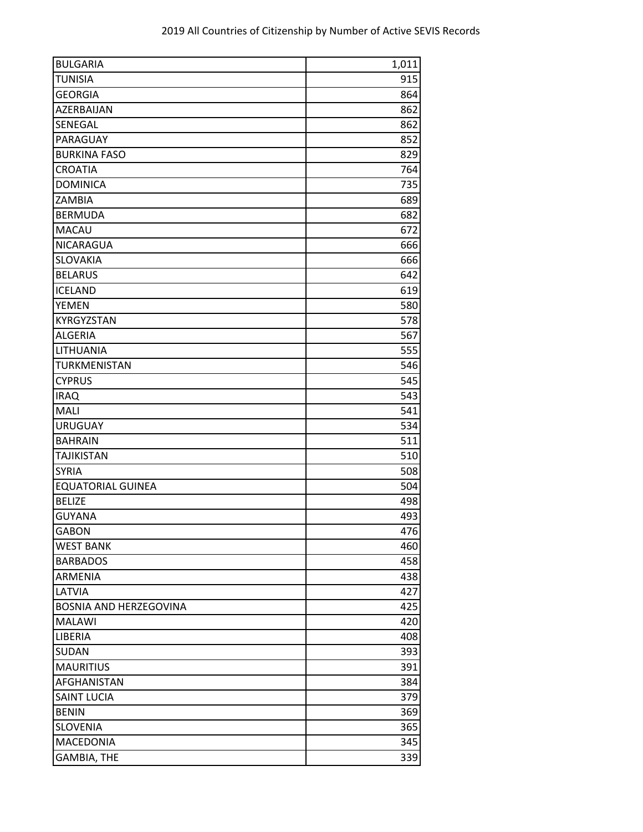| <b>BULGARIA</b>               | 1,011 |
|-------------------------------|-------|
| <b>TUNISIA</b>                | 915   |
| <b>GEORGIA</b>                | 864   |
| AZERBAIJAN                    | 862   |
| SENEGAL                       | 862   |
| PARAGUAY                      | 852   |
| <b>BURKINA FASO</b>           | 829   |
| <b>CROATIA</b>                | 764   |
| <b>DOMINICA</b>               | 735   |
| ZAMBIA                        | 689   |
| <b>BERMUDA</b>                | 682   |
| MACAU                         | 672   |
| NICARAGUA                     | 666   |
| SLOVAKIA                      | 666   |
| <b>BELARUS</b>                | 642   |
| <b>ICELAND</b>                | 619   |
| <b>YEMEN</b>                  | 580   |
| KYRGYZSTAN                    | 578   |
| <b>ALGERIA</b>                | 567   |
| LITHUANIA                     | 555   |
| TURKMENISTAN                  | 546   |
| <b>CYPRUS</b>                 | 545   |
| <b>IRAQ</b>                   | 543   |
| <b>MALI</b>                   | 541   |
| <b>URUGUAY</b>                | 534   |
| <b>BAHRAIN</b>                | 511   |
| <b>TAJIKISTAN</b>             | 510   |
| <b>SYRIA</b>                  | 508   |
| <b>EQUATORIAL GUINEA</b>      | 504   |
| <b>BELIZE</b>                 | 498   |
| <b>GUYANA</b>                 | 493   |
| <b>GABON</b>                  | 476   |
| <b>WEST BANK</b>              | 460   |
| <b>BARBADOS</b>               | 458   |
| ARMENIA                       | 438   |
| LATVIA                        | 427   |
| <b>BOSNIA AND HERZEGOVINA</b> | 425   |
| <b>MALAWI</b>                 | 420   |
| LIBERIA                       | 408   |
| SUDAN                         | 393   |
| <b>MAURITIUS</b>              | 391   |
| AFGHANISTAN                   | 384   |
| <b>SAINT LUCIA</b>            | 379   |
| <b>BENIN</b>                  | 369   |
| <b>SLOVENIA</b>               | 365   |
| MACEDONIA                     | 345   |
| <b>GAMBIA, THE</b>            | 339   |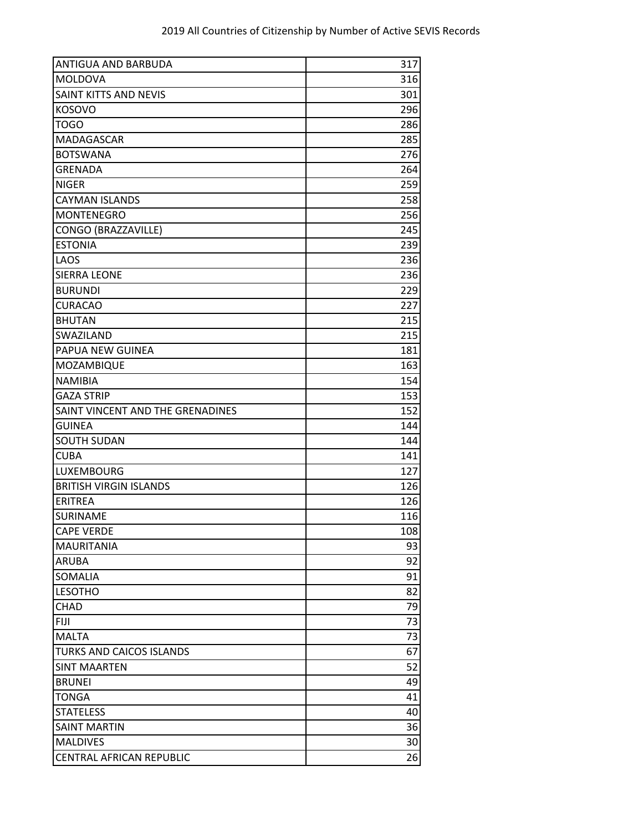| ANTIGUA AND BARBUDA              | 317 |
|----------------------------------|-----|
| MOLDOVA                          | 316 |
| SAINT KITTS AND NEVIS            | 301 |
| <b>KOSOVO</b>                    | 296 |
| <b>TOGO</b>                      | 286 |
| MADAGASCAR                       | 285 |
| <b>BOTSWANA</b>                  | 276 |
| <b>GRENADA</b>                   | 264 |
| <b>NIGER</b>                     | 259 |
| <b>CAYMAN ISLANDS</b>            | 258 |
| <b>MONTENEGRO</b>                | 256 |
| CONGO (BRAZZAVILLE)              | 245 |
| <b>ESTONIA</b>                   | 239 |
| LAOS                             | 236 |
| <b>SIERRA LEONE</b>              | 236 |
| <b>BURUNDI</b>                   | 229 |
| <b>CURACAO</b>                   | 227 |
| <b>BHUTAN</b>                    | 215 |
| SWAZILAND                        | 215 |
| PAPUA NEW GUINEA                 | 181 |
| MOZAMBIQUE                       | 163 |
| <b>NAMIBIA</b>                   | 154 |
| <b>GAZA STRIP</b>                | 153 |
| SAINT VINCENT AND THE GRENADINES | 152 |
| <b>GUINEA</b>                    | 144 |
| <b>SOUTH SUDAN</b>               | 144 |
| <b>CUBA</b>                      | 141 |
| <b>LUXEMBOURG</b>                | 127 |
| <b>BRITISH VIRGIN ISLANDS</b>    | 126 |
| <b>ERITREA</b>                   | 126 |
| <b>SURINAME</b>                  | 116 |
| <b>CAPE VERDE</b>                | 108 |
| <b>MAURITANIA</b>                | 93  |
| <b>ARUBA</b>                     | 92  |
| <b>SOMALIA</b>                   | 91  |
| <b>LESOTHO</b>                   | 82  |
| CHAD                             | 79  |
| <b>FIJI</b>                      | 73  |
| <b>MALTA</b>                     | 73  |
| TURKS AND CAICOS ISLANDS         | 67  |
| <b>SINT MAARTEN</b>              | 52  |
| <b>BRUNEI</b>                    | 49  |
| <b>TONGA</b>                     | 41  |
| <b>STATELESS</b>                 | 40  |
| <b>SAINT MARTIN</b>              | 36  |
| <b>MALDIVES</b>                  | 30  |
| <b>CENTRAL AFRICAN REPUBLIC</b>  | 26  |